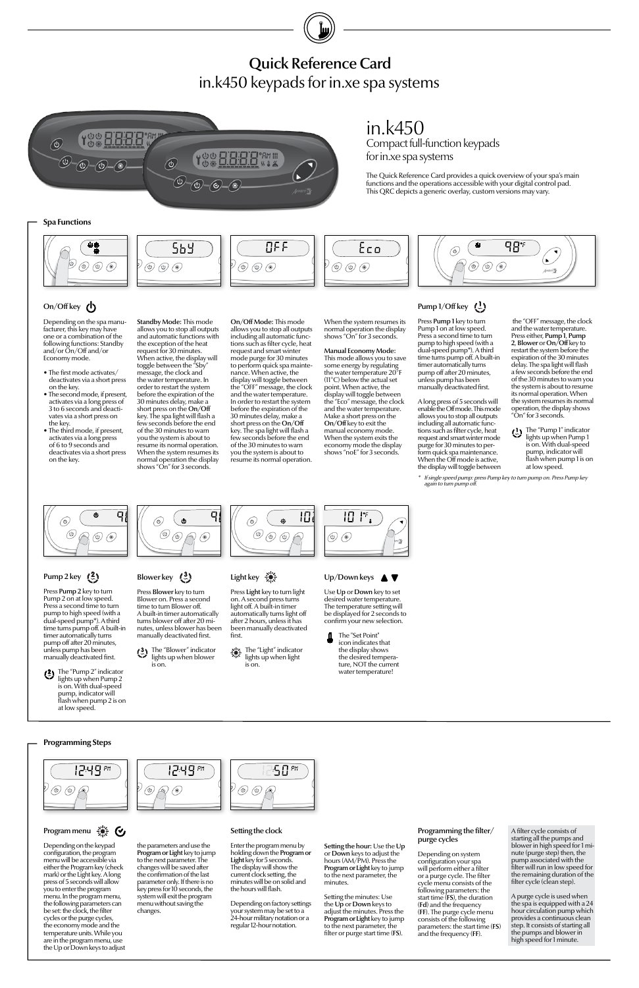the "OFF" message, the clock and the water temperature. Press either, Pump 1, Pump 2, Blower or On/Off key to restart the system before the expiration of the 30 minutes delay. The spa light will flash a few seconds before the end of the 30 minutes to warn you the system is about to resume its normal operation. When the system resumes its normal operation, the display shows "On" for 3 seconds.

The "Pump 1" indicator lights up when Pump 1 is on. With dual-speed pump, indicator will flash when pump 1 is on at low speed.

Depending on the spa manufacturer, this key may have one or a combination of the following functions: Standby and/or On/Off and/or Economy mode.

- The first mode activates/ deactivates via a short press on the key.
- The second mode, if present, activates via a long press of 3 to 6 seconds and deactivates via a short press on the key.
- The third mode, if present, activates via a long press of 6 to 9 seconds and deactivates via a short press on the key.

in.k450

Compact full-function keypads

for in.xe spa systems

The Quick Reference Card provides a quick overview of your spa's main functions and the operations accessible with your digital control pad. This QRC depicts a generic overlay, custom versions may vary.

Standby Mode: This mode allows you to stop all outputs and automatic functions with the exception of the heat request for 30 minutes. When active, the display will toggle between the "Sby message, the clock and the water temperature. In order to restart the system before the expiration of the 30 minutes delay, make a short press on the On/Off key. The spa light will flash a few seconds before the end of the 30 minutes to warn you the system is about to resume its normal operation. When the system resumes its normal operation the display shows "On" for 3 seconds.

> Depending on factory settings your system may be set to a 24-hour military notation or a regular 12-hour notation.

Press Pump 1 key to turn Pump 1 on at low speed. Press a second time to turn pump to high speed (with a dual-speed pump\*). A third time turns pump off. A built-in timer automatically turns pump off after 20 minutes, unless pump has been manually deactivated first.

# Quick Reference Card in.k450 keypads for in.xe spa systems



 $\bigodot$  The "Blower" indicator lights up when blower is on.



# Light key

A long press of 5 seconds will enable the Off mode. This mode allows you to stop all outputs including all automatic functions such as filter cycle, heat request and smart winter mode purge for 30 minutes to perform quick spa maintenance. When the Off mode is active, the display will toggle between

Press Pump 2 key to turn Pump 2 on at low speed. Press a second time to turn pump to high speed (with a dual-speed pump\*). A third time turns pump off. A built-in timer automatically turns pump off after 20 minutes, unless pump has been manually deactivated first.

When the system resumes its normal operation the display shows "On" for 3 seconds. Manual Economy Mode: This mode allows you to save some energy by regulating the water temperature 20°F





# Blower key  $(3)$

A filter cycle consists of starting all the pumps and blower in high speed for 1 minute (purge step) then, the pump associated with the filter will run in low speed for the remaining duration of the filter cycle (clean step).

Press Light key to turn light on. A second press turns light off. A built-in timer automatically turns light off after 2 hours, unless it has been manually deactivated first.



## Up/Down keys ▲ ▼

Use Up or Down key to set desired water temperature. The temperature setting will be displayed for 2 seconds to confirm your new selection.



### Setting the clock

 $\circledcirc$ 

### Programming the filter/ purge cycles

Depending on system configuration your spa will perform either a filter or a purge cycle. The filter cycle menu consists of the following parameters: the start time (FS), the duration (Fd) and the frequency (FF). The purge cycle menu consists of the following parameters: the start time (FS) and the frequency (FF).

Enter the program menu by holding down the Program or Light key for 5 seconds. The display will show the current clock setting, the minutes will be on solid and minutes.

1:50 pm

Press Blower key to turn Blower on. Press a second time to turn Blower off. A built-in timer automatically turns blower off after 20 minutes, unless blower has been manually deactivated first.

### **Spa Functions**



# On/Off key  $($

\*

If single speed pump: press Pump key to turn pump on. Press Pump key again to turn pump off.



# Pump 2 key  $(2)$

#### Setting the hour: Use the Up or Down keys to adjust the hours (AM/PM). Press the Program or Light key to jump to the next parameter, the

Setting the minutes: Use the Up or Down keys to adjust the minutes. Press the Program or Light key to jump to the next parameter, the filter or purge start time (FS).

On/Off Mode: This mode allows you to stop all outputs including all automatic functions such as filter cycle, heat request and smart winter mode purge for 30 minutes to perform quick spa maintenance. When active, the display will toggle between the "OFF" message, the clock and the water temperature. In order to restart the system before the expiration of the 30 minutes delay, make a short press on the On/Off key. The spa light will flash a few seconds before the end of the 30 minutes to warn you the system is about to resume its normal operation.

the hours will flash. the parameters and use the Program or Light key to jump to the next parameter. The changes will be saved after the confirmation of the last parameter only. If there is no key press for 10 seconds, the system will exit the program menu without saving the

(11°C) below the actual set point. When active, the display will toggle between the "Eco" message, the clock and the water temperature. Make a short press on the On/Off key to exit the manual economy mode. When the system exits the economy mode the display shows "noE" for 3 seconds.

# Pump  $1/O$ ff key  $($ <sup>1</sup> $)$

A purge cycle is used when the spa is equipped with a 24 hour circulation pump which provides a continuous clean step. It consists of starting all the pumps and blower in high speed for 1 minute.

## **Programming Steps**





Depending on the keypad configuration, the program menu will be accessible via either the Program key (check mark) or the Light key. A long press of 5 seconds will allow you to enter the program menu. In the program menu, the following parameters can be set: the clock, the filter cycles or the purge cycles, the economy mode and the temperature units. While you are in the program menu, use the Up or Down keys to adjust

changes.

Program menu  $\frac{202}{205}$   $\sigma$